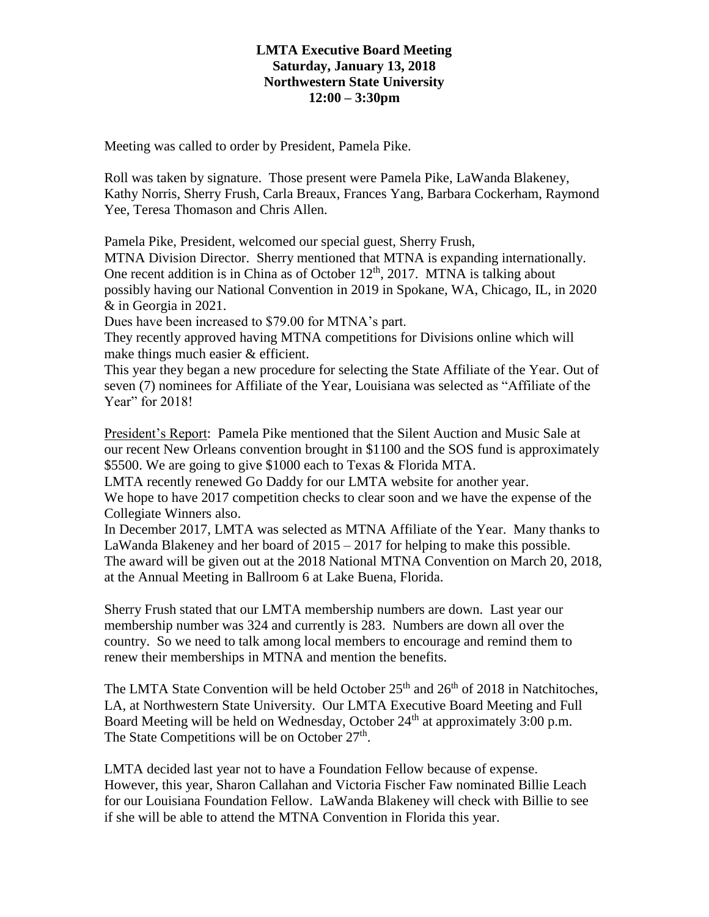## **LMTA Executive Board Meeting Saturday, January 13, 2018 Northwestern State University 12:00 – 3:30pm**

Meeting was called to order by President, Pamela Pike.

Roll was taken by signature. Those present were Pamela Pike, LaWanda Blakeney, Kathy Norris, Sherry Frush, Carla Breaux, Frances Yang, Barbara Cockerham, Raymond Yee, Teresa Thomason and Chris Allen.

Pamela Pike, President, welcomed our special guest, Sherry Frush,

MTNA Division Director. Sherry mentioned that MTNA is expanding internationally. One recent addition is in China as of October  $12<sup>th</sup>$ , 2017. MTNA is talking about possibly having our National Convention in 2019 in Spokane, WA, Chicago, IL, in 2020 & in Georgia in 2021.

Dues have been increased to \$79.00 for MTNA's part.

They recently approved having MTNA competitions for Divisions online which will make things much easier & efficient.

This year they began a new procedure for selecting the State Affiliate of the Year. Out of seven (7) nominees for Affiliate of the Year, Louisiana was selected as "Affiliate of the Year" for 2018!

President's Report: Pamela Pike mentioned that the Silent Auction and Music Sale at our recent New Orleans convention brought in \$1100 and the SOS fund is approximately \$5500. We are going to give \$1000 each to Texas & Florida MTA.

LMTA recently renewed Go Daddy for our LMTA website for another year.

We hope to have 2017 competition checks to clear soon and we have the expense of the Collegiate Winners also.

In December 2017, LMTA was selected as MTNA Affiliate of the Year. Many thanks to LaWanda Blakeney and her board of 2015 – 2017 for helping to make this possible. The award will be given out at the 2018 National MTNA Convention on March 20, 2018, at the Annual Meeting in Ballroom 6 at Lake Buena, Florida.

Sherry Frush stated that our LMTA membership numbers are down. Last year our membership number was 324 and currently is 283. Numbers are down all over the country. So we need to talk among local members to encourage and remind them to renew their memberships in MTNA and mention the benefits.

The LMTA State Convention will be held October  $25<sup>th</sup>$  and  $26<sup>th</sup>$  of 2018 in Natchitoches, LA, at Northwestern State University. Our LMTA Executive Board Meeting and Full Board Meeting will be held on Wednesday, October  $24<sup>th</sup>$  at approximately 3:00 p.m. The State Competitions will be on October  $27<sup>th</sup>$ .

LMTA decided last year not to have a Foundation Fellow because of expense. However, this year, Sharon Callahan and Victoria Fischer Faw nominated Billie Leach for our Louisiana Foundation Fellow. LaWanda Blakeney will check with Billie to see if she will be able to attend the MTNA Convention in Florida this year.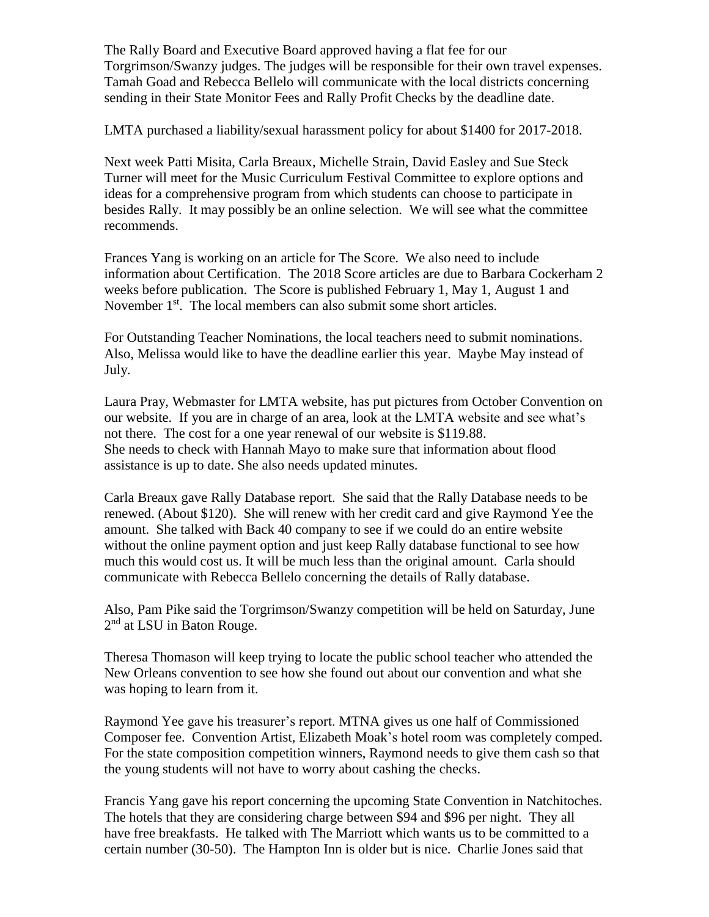The Rally Board and Executive Board approved having a flat fee for our Torgrimson/Swanzy judges. The judges will be responsible for their own travel expenses. Tamah Goad and Rebecca Bellelo will communicate with the local districts concerning sending in their State Monitor Fees and Rally Profit Checks by the deadline date.

LMTA purchased a liability/sexual harassment policy for about \$1400 for 2017-2018.

Next week Patti Misita, Carla Breaux, Michelle Strain, David Easley and Sue Steck Turner will meet for the Music Curriculum Festival Committee to explore options and ideas for a comprehensive program from which students can choose to participate in besides Rally. It may possibly be an online selection. We will see what the committee recommends.

Frances Yang is working on an article for The Score. We also need to include information about Certification. The 2018 Score articles are due to Barbara Cockerham 2 weeks before publication. The Score is published February 1, May 1, August 1 and November 1<sup>st</sup>. The local members can also submit some short articles.

For Outstanding Teacher Nominations, the local teachers need to submit nominations. Also, Melissa would like to have the deadline earlier this year. Maybe May instead of July.

Laura Pray, Webmaster for LMTA website, has put pictures from October Convention on our website. If you are in charge of an area, look at the LMTA website and see what's not there. The cost for a one year renewal of our website is \$119.88. She needs to check with Hannah Mayo to make sure that information about flood assistance is up to date. She also needs updated minutes.

Carla Breaux gave Rally Database report. She said that the Rally Database needs to be renewed. (About \$120). She will renew with her credit card and give Raymond Yee the amount. She talked with Back 40 company to see if we could do an entire website without the online payment option and just keep Rally database functional to see how much this would cost us. It will be much less than the original amount. Carla should communicate with Rebecca Bellelo concerning the details of Rally database.

Also, Pam Pike said the Torgrimson/Swanzy competition will be held on Saturday, June 2<sup>nd</sup> at LSU in Baton Rouge.

Theresa Thomason will keep trying to locate the public school teacher who attended the New Orleans convention to see how she found out about our convention and what she was hoping to learn from it.

Raymond Yee gave his treasurer's report. MTNA gives us one half of Commissioned Composer fee. Convention Artist, Elizabeth Moak's hotel room was completely comped. For the state composition competition winners, Raymond needs to give them cash so that the young students will not have to worry about cashing the checks.

Francis Yang gave his report concerning the upcoming State Convention in Natchitoches. The hotels that they are considering charge between \$94 and \$96 per night. They all have free breakfasts. He talked with The Marriott which wants us to be committed to a certain number (30-50). The Hampton Inn is older but is nice. Charlie Jones said that